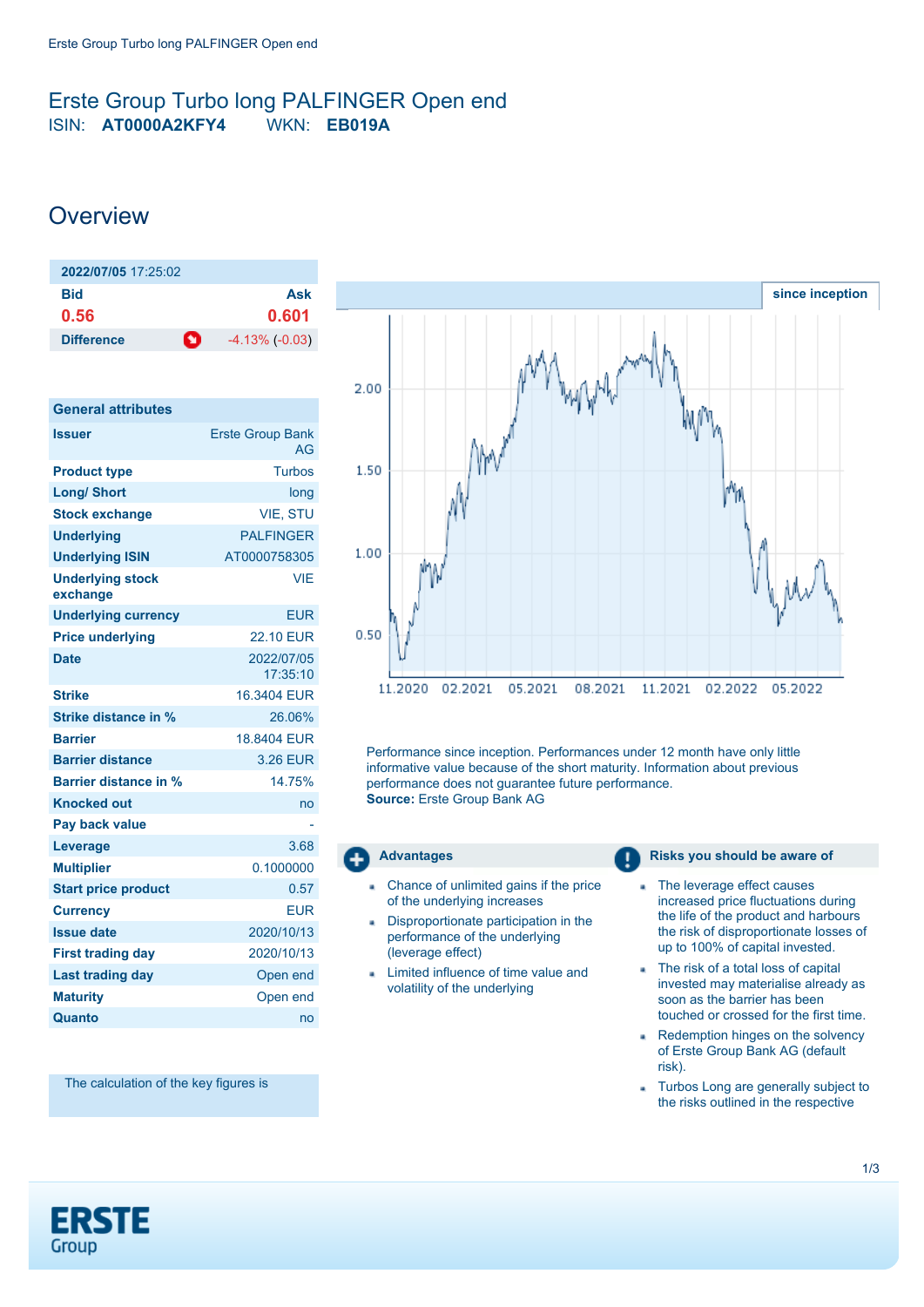## <span id="page-0-0"></span>Erste Group Turbo long PALFINGER Open end ISIN: **AT0000A2KFY4** WKN: **EB019A**

# **Overview**

| 2022/07/05 17:25:02    |                       |
|------------------------|-----------------------|
| Bid                    | Ask                   |
| 0.56                   | 0.601                 |
| n<br><b>Difference</b> | $-4.13\%$ ( $-0.03$ ) |

| <b>General attributes</b>           |                               |
|-------------------------------------|-------------------------------|
| <b>Issuer</b>                       | <b>Erste Group Bank</b><br>AG |
| <b>Product type</b>                 | <b>Turbos</b>                 |
| <b>Long/ Short</b>                  | long                          |
| <b>Stock exchange</b>               | <b>VIE. STU</b>               |
| <b>Underlying</b>                   | <b>PALFINGER</b>              |
| <b>Underlying ISIN</b>              | AT0000758305                  |
| <b>Underlying stock</b><br>exchange | <b>VIE</b>                    |
| <b>Underlying currency</b>          | <b>EUR</b>                    |
| <b>Price underlying</b>             | <b>22.10 FUR</b>              |
| <b>Date</b>                         | 2022/07/05<br>17:35:10        |
| <b>Strike</b>                       | 16.3404 FUR                   |
| Strike distance in %                | 26.06%                        |
| <b>Barrier</b>                      | 18.8404 FUR                   |
| <b>Barrier distance</b>             | 3.26 EUR                      |
| <b>Barrier distance in %</b>        | 14.75%                        |
| <b>Knocked out</b>                  | no                            |
| Pay back value                      |                               |
| Leverage                            | 3.68                          |
| <b>Multiplier</b>                   | 0.1000000                     |
| <b>Start price product</b>          | 0.57                          |
| <b>Currency</b>                     | <b>EUR</b>                    |
| <b>Issue date</b>                   | 2020/10/13                    |
| <b>First trading day</b>            | 2020/10/13                    |
| <b>Last trading day</b>             | Open end                      |
| <b>Maturity</b>                     | Open end                      |
| Quanto                              | no                            |



Performance since inception. Performances under 12 month have only little informative value because of the short maturity. Information about previous performance does not guarantee future performance. **Source:** Erste Group Bank AG

- Chance of unlimited gains if the price of the underlying increases
- Disproportionate participation in the performance of the underlying (leverage effect)
- Limited influence of time value and volatility of the underlying

### **Advantages Risks you should be aware of Risks** you should be aware of

- The leverage effect causes a, increased price fluctuations during the life of the product and harbours the risk of disproportionate losses of up to 100% of capital invested.
- The risk of a total loss of capital invested may materialise already as soon as the barrier has been touched or crossed for the first time.
- Redemption hinges on the solvency a. of Erste Group Bank AG (default risk).
- Turbos Long are generally subject to a. the risks outlined in the respective

The calculation of the key figures is

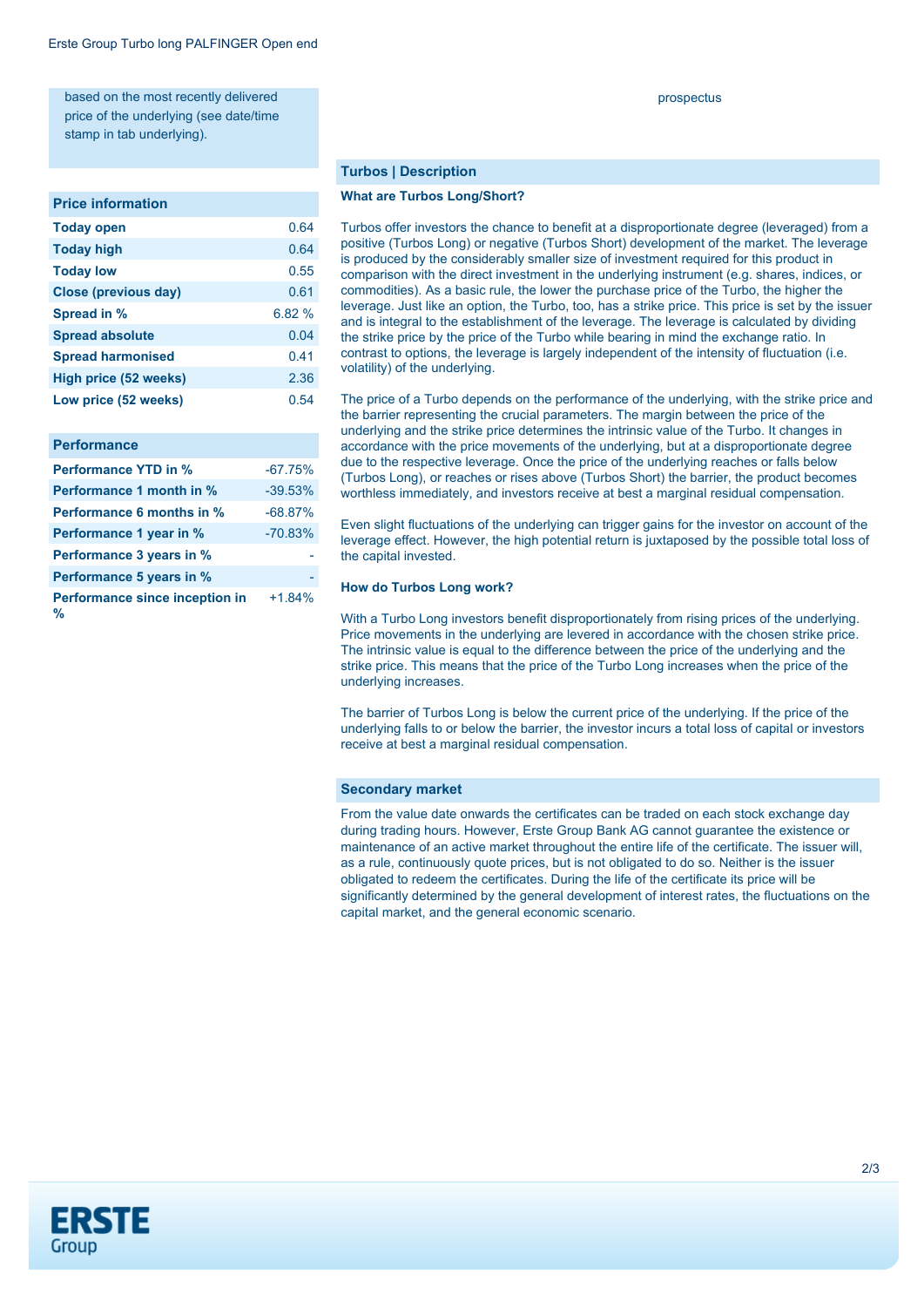based on the most recently delivered price of the underlying (see date/time stamp in tab underlying).

#### **Price information**

| <b>Today open</b>        | 0.64   |
|--------------------------|--------|
| <b>Today high</b>        | 0.64   |
| <b>Today low</b>         | 0.55   |
| Close (previous day)     | 0.61   |
| Spread in %              | 6.82 % |
| <b>Spread absolute</b>   | 0.04   |
| <b>Spread harmonised</b> | 0.41   |
| High price (52 weeks)    | 2.36   |
| Low price (52 weeks)     | 0.54   |

| <b>Performance</b>                  |           |
|-------------------------------------|-----------|
| <b>Performance YTD in %</b>         | $-67.75%$ |
| Performance 1 month in %            | $-39.53%$ |
| <b>Performance 6 months in %</b>    | $-68.87%$ |
| Performance 1 year in %             | $-70.83%$ |
| Performance 3 years in %            |           |
| Performance 5 years in %            |           |
| Performance since inception in<br>℅ | $+1.84%$  |

#### **Turbos | Description**

#### **What are Turbos Long/Short?**

Turbos offer investors the chance to benefit at a disproportionate degree (leveraged) from a positive (Turbos Long) or negative (Turbos Short) development of the market. The leverage is produced by the considerably smaller size of investment required for this product in comparison with the direct investment in the underlying instrument (e.g. shares, indices, or commodities). As a basic rule, the lower the purchase price of the Turbo, the higher the leverage. Just like an option, the Turbo, too, has a strike price. This price is set by the issuer and is integral to the establishment of the leverage. The leverage is calculated by dividing the strike price by the price of the Turbo while bearing in mind the exchange ratio. In contrast to options, the leverage is largely independent of the intensity of fluctuation (i.e. volatility) of the underlying.

The price of a Turbo depends on the performance of the underlying, with the strike price and the barrier representing the crucial parameters. The margin between the price of the underlying and the strike price determines the intrinsic value of the Turbo. It changes in accordance with the price movements of the underlying, but at a disproportionate degree due to the respective leverage. Once the price of the underlying reaches or falls below (Turbos Long), or reaches or rises above (Turbos Short) the barrier, the product becomes worthless immediately, and investors receive at best a marginal residual compensation.

Even slight fluctuations of the underlying can trigger gains for the investor on account of the leverage effect. However, the high potential return is juxtaposed by the possible total loss of the capital invested.

#### **How do Turbos Long work?**

With a Turbo Long investors benefit disproportionately from rising prices of the underlying. Price movements in the underlying are levered in accordance with the chosen strike price. The intrinsic value is equal to the difference between the price of the underlying and the strike price. This means that the price of the Turbo Long increases when the price of the underlying increases.

The barrier of Turbos Long is below the current price of the underlying. If the price of the underlying falls to or below the barrier, the investor incurs a total loss of capital or investors receive at best a marginal residual compensation.

#### **Secondary market**

From the value date onwards the certificates can be traded on each stock exchange day during trading hours. However, Erste Group Bank AG cannot guarantee the existence or maintenance of an active market throughout the entire life of the certificate. The issuer will, as a rule, continuously quote prices, but is not obligated to do so. Neither is the issuer obligated to redeem the certificates. During the life of the certificate its price will be significantly determined by the general development of interest rates, the fluctuations on the capital market, and the general economic scenario.



#### prospectus